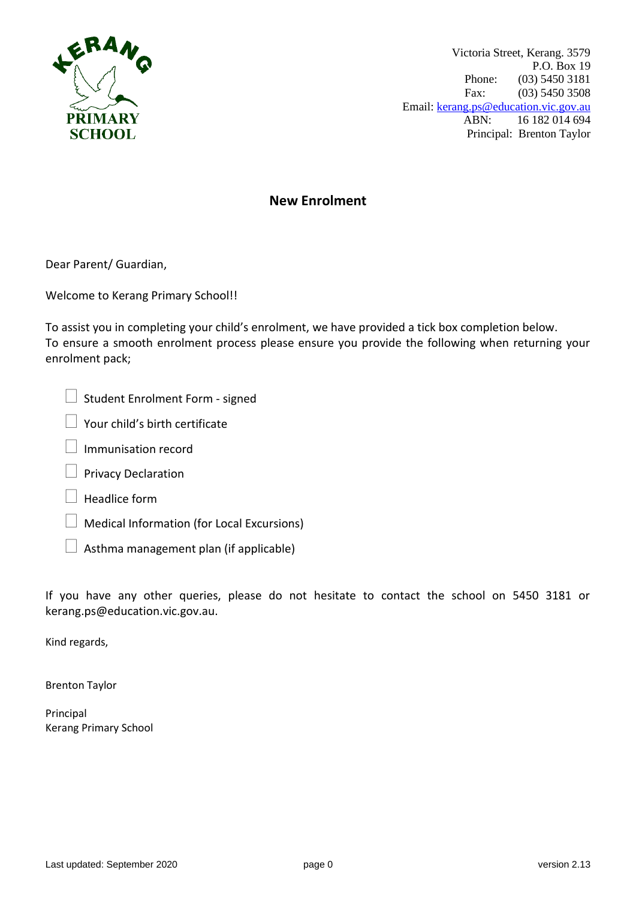

Victoria Street, Kerang. 3579 P.O. Box 19 Phone: (03) 5450 3181 Fax: (03) 5450 3508 Email: [kerang.ps@education.vic.gov.au](mailto:kerang.ps@education.vic.gov.au) ABN: 16 182 014 694 Principal: Brenton Taylor

## **New Enrolment**

Dear Parent/ Guardian,

Welcome to Kerang Primary School!!

To assist you in completing your child's enrolment, we have provided a tick box completion below. To ensure a smooth enrolment process please ensure you provide the following when returning your enrolment pack;

|  | $\Box$ Student Enrolment Form - signed |  |
|--|----------------------------------------|--|
|  |                                        |  |

Your child's birth certificate

- Immunisation record
- Privacy Declaration
- Headlice form
- Medical Information (for Local Excursions)
- Asthma management plan (if applicable)

If you have any other queries, please do not hesitate to contact the school on 5450 3181 or kerang.ps@education.vic.gov.au.

Kind regards,

Brenton Taylor

Principal Kerang Primary School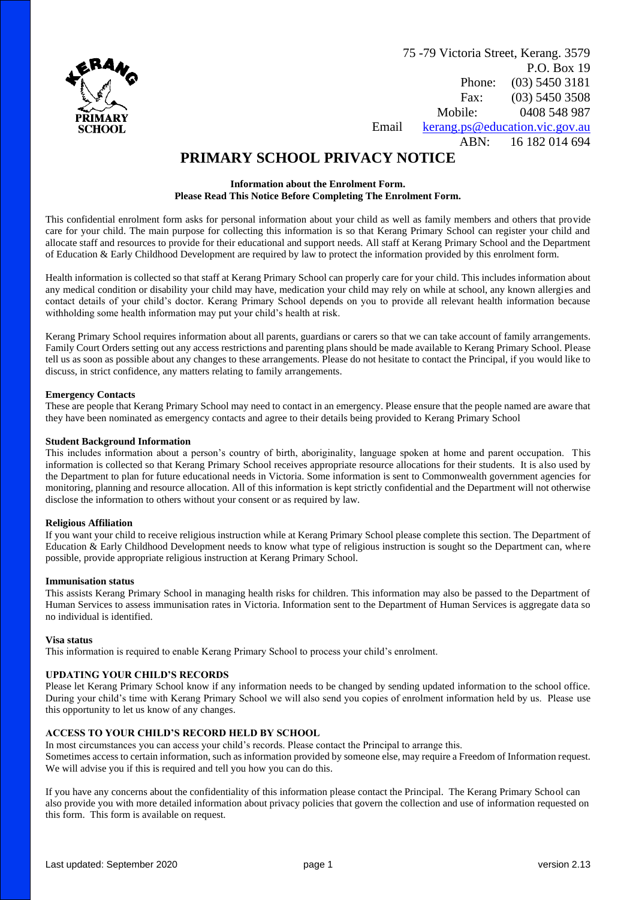

75 -79 Victoria Street, Kerang. 3579 P.O. Box 19 Phone: (03) 5450 3181 Fax: (03) 5450 3508 Mobile: 0408 548 987 Email [kerang.ps@education.vic.gov.au](mailto:kerang.ps@education.vic.gov.au)

ABN: 16 182 014 694

## **PRIMARY SCHOOL PRIVACY NOTICE**

#### **Information about the Enrolment Form. Please Read This Notice Before Completing The Enrolment Form.**

This confidential enrolment form asks for personal information about your child as well as family members and others that provide care for your child. The main purpose for collecting this information is so that Kerang Primary School can register your child and allocate staff and resources to provide for their educational and support needs. All staff at Kerang Primary School and the Department of Education & Early Childhood Development are required by law to protect the information provided by this enrolment form.

Health information is collected so that staff at Kerang Primary School can properly care for your child. This includes information about any medical condition or disability your child may have, medication your child may rely on while at school, any known allergies and contact details of your child's doctor. Kerang Primary School depends on you to provide all relevant health information because withholding some health information may put your child's health at risk.

Kerang Primary School requires information about all parents, guardians or carers so that we can take account of family arrangements. Family Court Orders setting out any access restrictions and parenting plans should be made available to Kerang Primary School. Please tell us as soon as possible about any changes to these arrangements. Please do not hesitate to contact the Principal, if you would like to discuss, in strict confidence, any matters relating to family arrangements.

#### **Emergency Contacts**

These are people that Kerang Primary School may need to contact in an emergency. Please ensure that the people named are aware that they have been nominated as emergency contacts and agree to their details being provided to Kerang Primary School

#### **Student Background Information**

This includes information about a person's country of birth, aboriginality, language spoken at home and parent occupation. This information is collected so that Kerang Primary School receives appropriate resource allocations for their students. It is also used by the Department to plan for future educational needs in Victoria. Some information is sent to Commonwealth government agencies for monitoring, planning and resource allocation. All of this information is kept strictly confidential and the Department will not otherwise disclose the information to others without your consent or as required by law.

#### **Religious Affiliation**

If you want your child to receive religious instruction while at Kerang Primary School please complete this section. The Department of Education & Early Childhood Development needs to know what type of religious instruction is sought so the Department can, where possible, provide appropriate religious instruction at Kerang Primary School.

#### **Immunisation status**

This assists Kerang Primary School in managing health risks for children. This information may also be passed to the Department of Human Services to assess immunisation rates in Victoria. Information sent to the Department of Human Services is aggregate data so no individual is identified.

#### **Visa status**

This information is required to enable Kerang Primary School to process your child's enrolment.

#### **UPDATING YOUR CHILD'S RECORDS**

Please let Kerang Primary School know if any information needs to be changed by sending updated information to the school office. During your child's time with Kerang Primary School we will also send you copies of enrolment information held by us. Please use this opportunity to let us know of any changes.

#### **ACCESS TO YOUR CHILD'S RECORD HELD BY SCHOOL**

In most circumstances you can access your child's records. Please contact the Principal to arrange this. Sometimes access to certain information, such as information provided by someone else, may require a Freedom of Information request. We will advise you if this is required and tell you how you can do this.

If you have any concerns about the confidentiality of this information please contact the Principal. The Kerang Primary School can also provide you with more detailed information about privacy policies that govern the collection and use of information requested on this form. This form is available on request.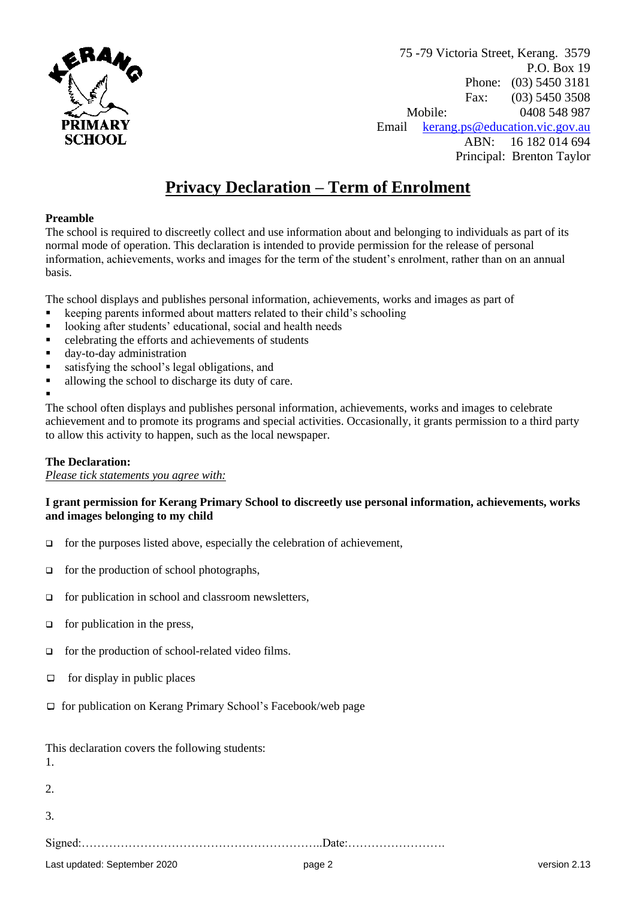

75 -79 Victoria Street, Kerang. 3579 P.O. Box 19 Phone: (03) 5450 3181 Fax: (03) 5450 3508 Mobile: 0408 548 987 Email [kerang.ps@education.vic.gov.au](mailto:kerang.ps@education.vic.gov.au) ABN: 16 182 014 694 Principal: Brenton Taylor

## **Privacy Declaration – Term of Enrolment**

## **Preamble**

The school is required to discreetly collect and use information about and belonging to individuals as part of its normal mode of operation. This declaration is intended to provide permission for the release of personal information, achievements, works and images for the term of the student's enrolment, rather than on an annual basis.

The school displays and publishes personal information, achievements, works and images as part of

- keeping parents informed about matters related to their child's schooling
- looking after students' educational, social and health needs
- **•** celebrating the efforts and achievements of students
- day-to-day administration
- satisfying the school's legal obligations, and
- allowing the school to discharge its duty of care.

▪

The school often displays and publishes personal information, achievements, works and images to celebrate achievement and to promote its programs and special activities. Occasionally, it grants permission to a third party to allow this activity to happen, such as the local newspaper.

## **The Declaration:**

*Please tick statements you agree with:*

## **I grant permission for Kerang Primary School to discreetly use personal information, achievements, works and images belonging to my child**

- ❑ for the purposes listed above, especially the celebration of achievement,
- ❑ for the production of school photographs,
- ❑ for publication in school and classroom newsletters,
- ❑ for publication in the press,
- ❑ for the production of school-related video films.
- $\Box$  for display in public places
- $\Box$  for publication on Kerang Primary School's Facebook/web page

| 1. |  |
|----|--|
| 2. |  |
| 3. |  |
|    |  |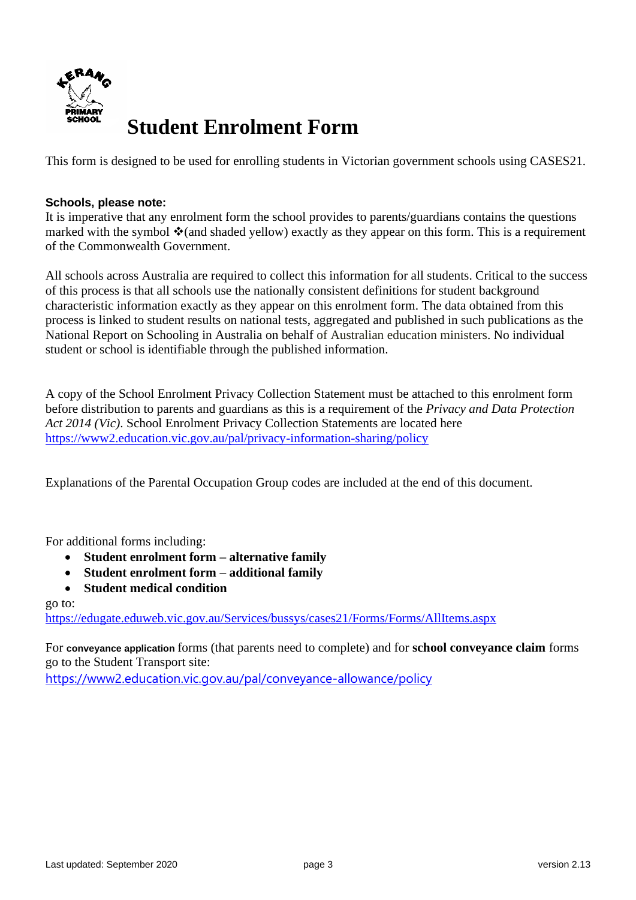

This form is designed to be used for enrolling students in Victorian government schools using CASES21.

## **Schools, please note:**

It is imperative that any enrolment form the school provides to parents/guardians contains the questions marked with the symbol  $\cdot$  (and shaded yellow) exactly as they appear on this form. This is a requirement of the Commonwealth Government.

All schools across Australia are required to collect this information for all students. Critical to the success of this process is that all schools use the nationally consistent definitions for student background characteristic information exactly as they appear on this enrolment form. The data obtained from this process is linked to student results on national tests, aggregated and published in such publications as the National Report on Schooling in Australia on behalf of Australian education ministers. No individual student or school is identifiable through the published information.

A copy of the School Enrolment Privacy Collection Statement must be attached to this enrolment form before distribution to parents and guardians as this is a requirement of the *Privacy and Data Protection Act 2014 (Vic)*. School Enrolment Privacy Collection Statements are located here <https://www2.education.vic.gov.au/pal/privacy-information-sharing/policy>

Explanations of the Parental Occupation Group codes are included at the end of this document.

For additional forms including:

- **Student enrolment form – alternative family**
- **Student enrolment form – additional family**
- **Student medical condition**

go to:

<https://edugate.eduweb.vic.gov.au/Services/bussys/cases21/Forms/Forms/AllItems.aspx>

For **conveyance application** forms (that parents need to complete) and for **school conveyance claim** forms go to the Student Transport site: <https://www2.education.vic.gov.au/pal/conveyance-allowance/policy>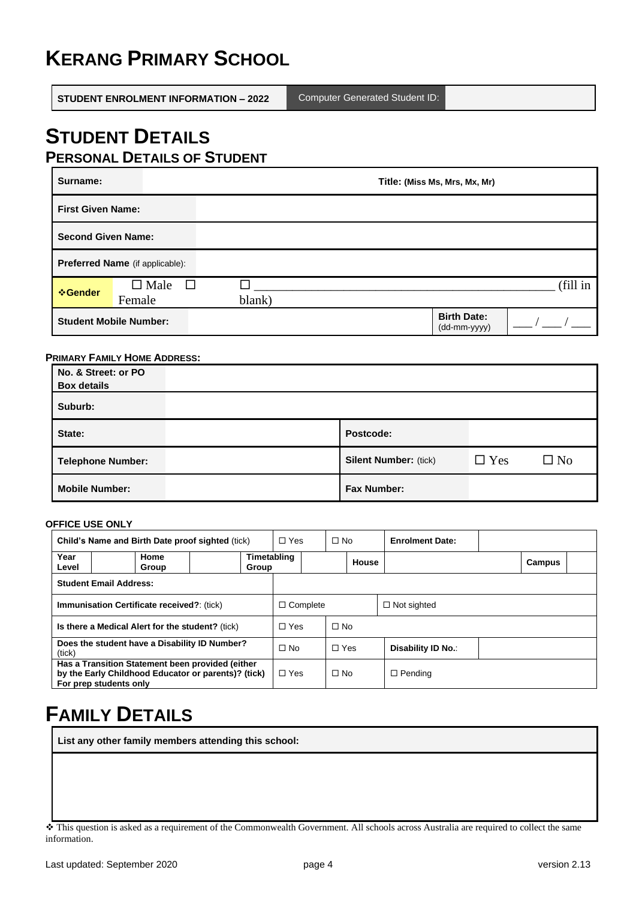# **KERANG PRIMARY SCHOOL**

**STUDENT ENROLMENT INFORMATION – 2022** Computer Generated Student ID:

# **STUDENT DETAILS**

|  | <b>PERSONAL DETAILS OF STUDENT</b> |
|--|------------------------------------|
|  |                                    |

| Surname:                  |                                    | Title: (Miss Ms, Mrs, Mx, Mr) |  |                                    |          |  |  |
|---------------------------|------------------------------------|-------------------------------|--|------------------------------------|----------|--|--|
| <b>First Given Name:</b>  |                                    |                               |  |                                    |          |  |  |
| <b>Second Given Name:</b> |                                    |                               |  |                                    |          |  |  |
|                           | Preferred Name (if applicable):    |                               |  |                                    |          |  |  |
| <b>☆Gender</b>            | $\square$ Male<br>$\Box$<br>Female | blank)                        |  |                                    | (fill in |  |  |
|                           | <b>Student Mobile Number:</b>      |                               |  | <b>Birth Date:</b><br>(dd-mm-yyyy) |          |  |  |

#### **PRIMARY FAMILY HOME ADDRESS:**

| No. & Street: or PO<br><b>Box details</b> |                              |            |           |
|-------------------------------------------|------------------------------|------------|-----------|
| Suburb:                                   |                              |            |           |
| State:                                    | Postcode:                    |            |           |
| <b>Telephone Number:</b>                  | <b>Silent Number: (tick)</b> | $\Box$ Yes | $\Box$ No |
| <b>Mobile Number:</b>                     | <b>Fax Number:</b>           |            |           |

### **OFFICE USE ONLY**

|                                                   | Child's Name and Birth Date proof sighted (tick)                                                                                  |                 | $\Box$ Yes<br>$\Box$ No |           | <b>Enrolment Date:</b> |                    |                    |        |
|---------------------------------------------------|-----------------------------------------------------------------------------------------------------------------------------------|-----------------|-------------------------|-----------|------------------------|--------------------|--------------------|--------|
| Year<br>Level                                     | Home<br>Group                                                                                                                     | Group           | Timetabling             |           |                        | House              |                    | Campus |
|                                                   | <b>Student Email Address:</b>                                                                                                     |                 |                         |           |                        |                    |                    |        |
| <b>Immunisation Certificate received?: (tick)</b> |                                                                                                                                   | $\Box$ Complete |                         |           |                        | $\Box$ Not sighted |                    |        |
| Is there a Medical Alert for the student? (tick)  |                                                                                                                                   | $\Box$ Yes      |                         | $\Box$ No |                        |                    |                    |        |
| (tick)                                            | Does the student have a Disability ID Number?                                                                                     |                 | $\Box$ No               |           | $\Box$ Yes             |                    | Disability ID No.: |        |
|                                                   | Has a Transition Statement been provided (either<br>by the Early Childhood Educator or parents)? (tick)<br>For prep students only |                 | $\Box$ Yes              |           | $\Box$ No              |                    | $\Box$ Pending     |        |

# **FAMILY DETAILS**

**List any other family members attending this school:**

<sup>❖</sup> This question is asked as a requirement of the Commonwealth Government. All schools across Australia are required to collect the same information.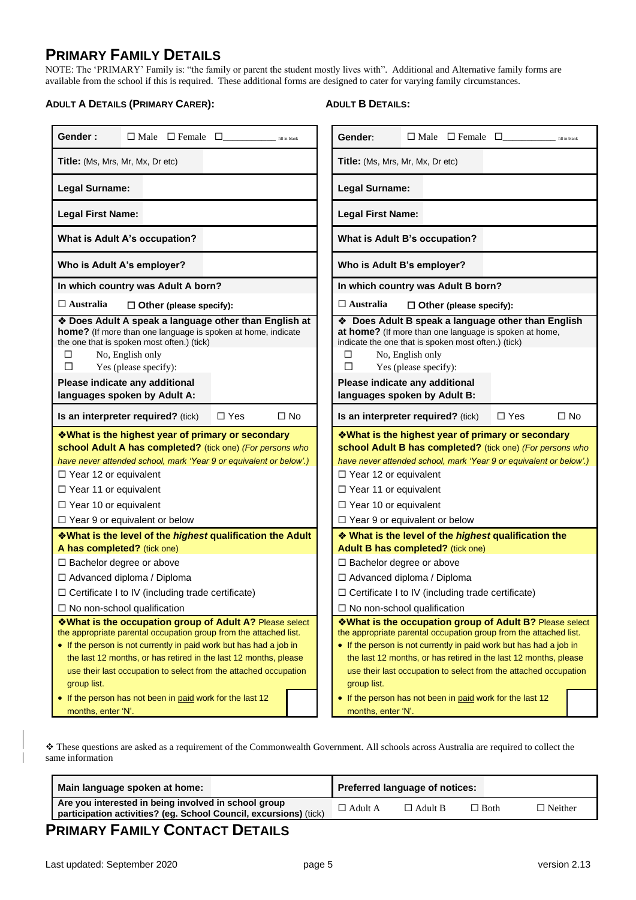## **PRIMARY FAMILY DETAILS**

NOTE: The 'PRIMARY' Family is: "the family or parent the student mostly lives with". Additional and Alternative family forms are available from the school if this is required. These additional forms are designed to cater for varying family circumstances.

#### **ADULT A DETAILS (PRIMARY CARER):**

## **ADULT B DETAILS:**

| Gender:<br>$\Box$ Male $\Box$ Female $\Box$<br>fill in blank                                                                                                                                                                                                                                                                                              | Gender:<br>$\Box$ Male $\Box$ Female $\Box$ $\Box$ $\Box$ $\Box$                                                                                                                                                                                                                                                                                          |  |  |  |
|-----------------------------------------------------------------------------------------------------------------------------------------------------------------------------------------------------------------------------------------------------------------------------------------------------------------------------------------------------------|-----------------------------------------------------------------------------------------------------------------------------------------------------------------------------------------------------------------------------------------------------------------------------------------------------------------------------------------------------------|--|--|--|
| <b>Title:</b> (Ms, Mrs, Mr, Mx, Dr etc)                                                                                                                                                                                                                                                                                                                   | <b>Title:</b> (Ms, Mrs, Mr, Mx, Dr etc)                                                                                                                                                                                                                                                                                                                   |  |  |  |
| Legal Surname:                                                                                                                                                                                                                                                                                                                                            | Legal Surname:                                                                                                                                                                                                                                                                                                                                            |  |  |  |
| <b>Legal First Name:</b>                                                                                                                                                                                                                                                                                                                                  | <b>Legal First Name:</b>                                                                                                                                                                                                                                                                                                                                  |  |  |  |
| What is Adult A's occupation?                                                                                                                                                                                                                                                                                                                             | What is Adult B's occupation?                                                                                                                                                                                                                                                                                                                             |  |  |  |
| Who is Adult A's employer?                                                                                                                                                                                                                                                                                                                                | Who is Adult B's employer?                                                                                                                                                                                                                                                                                                                                |  |  |  |
| In which country was Adult A born?                                                                                                                                                                                                                                                                                                                        | In which country was Adult B born?                                                                                                                                                                                                                                                                                                                        |  |  |  |
| $\Box$ Australia<br>$\Box$ Other (please specify):                                                                                                                                                                                                                                                                                                        | $\Box$ Australia<br>$\Box$ Other (please specify):                                                                                                                                                                                                                                                                                                        |  |  |  |
| * Does Adult A speak a language other than English at<br>home? (If more than one language is spoken at home, indicate<br>the one that is spoken most often.) (tick)<br>□<br>No, English only<br>$\Box$<br>Yes (please specify):<br>Please indicate any additional<br>languages spoken by Adult A:                                                         | ♦ Does Adult B speak a language other than English<br>at home? (If more than one language is spoken at home,<br>indicate the one that is spoken most often.) (tick)<br>No, English only<br>◻<br>П<br>Yes (please specify):<br>Please indicate any additional<br>languages spoken by Adult B:                                                              |  |  |  |
| $\Box$ Yes<br>Is an interpreter required? (tick)<br>$\Box$ No                                                                                                                                                                                                                                                                                             | $\Box$ Yes<br>$\Box$ No<br>Is an interpreter required? (tick)                                                                                                                                                                                                                                                                                             |  |  |  |
| <b>Vhat is the highest year of primary or secondary</b><br>school Adult A has completed? (tick one) (For persons who<br>have never attended school, mark 'Year 9 or equivalent or below'.)<br>$\Box$ Year 12 or equivalent<br>□ Year 11 or equivalent<br>$\Box$ Year 10 or equivalent<br>$\Box$ Year 9 or equivalent or below                             | <b>Vhat is the highest year of primary or secondary</b><br>school Adult B has completed? (tick one) (For persons who<br>have never attended school, mark 'Year 9 or equivalent or below'.)<br>$\Box$ Year 12 or equivalent<br>$\Box$ Year 11 or equivalent<br>$\Box$ Year 10 or equivalent<br>$\Box$ Year 9 or equivalent or below                        |  |  |  |
| <b>V</b> What is the level of the <i>highest</i> qualification the Adult                                                                                                                                                                                                                                                                                  | ◆ What is the level of the highest qualification the                                                                                                                                                                                                                                                                                                      |  |  |  |
| A has completed? (tick one)<br>$\Box$ Bachelor degree or above<br>□ Advanced diploma / Diploma<br>$\Box$ Certificate I to IV (including trade certificate)<br>$\Box$ No non-school qualification                                                                                                                                                          | Adult B has completed? (tick one)<br>$\Box$ Bachelor degree or above<br>□ Advanced diploma / Diploma<br>$\Box$ Certificate I to IV (including trade certificate)<br>$\Box$ No non-school qualification                                                                                                                                                    |  |  |  |
| *What is the occupation group of Adult A? Please select<br>the appropriate parental occupation group from the attached list.<br>• If the person is not currently in paid work but has had a job in<br>the last 12 months, or has retired in the last 12 months, please<br>use their last occupation to select from the attached occupation<br>group list. | *What is the occupation group of Adult B? Please select<br>the appropriate parental occupation group from the attached list.<br>• If the person is not currently in paid work but has had a job in<br>the last 12 months, or has retired in the last 12 months, please<br>use their last occupation to select from the attached occupation<br>group list. |  |  |  |
| • If the person has not been in paid work for the last 12<br>months, enter 'N'.                                                                                                                                                                                                                                                                           | • If the person has not been in paid work for the last 12<br>months, enter 'N'.                                                                                                                                                                                                                                                                           |  |  |  |

❖ These questions are asked as a requirement of the Commonwealth Government. All schools across Australia are required to collect the same information

| Main language spoken at home:                                                                                             |                | <b>Preferred language of notices:</b> |        |                |
|---------------------------------------------------------------------------------------------------------------------------|----------------|---------------------------------------|--------|----------------|
| Are you interested in being involved in school group<br>participation activities? (eg. School Council, excursions) (tick) | $\Box$ Adult A | $\Box$ Adult B                        | ∟ Both | $\Box$ Neither |
|                                                                                                                           |                |                                       |        |                |

## **PRIMARY FAMILY CONTACT DETAILS**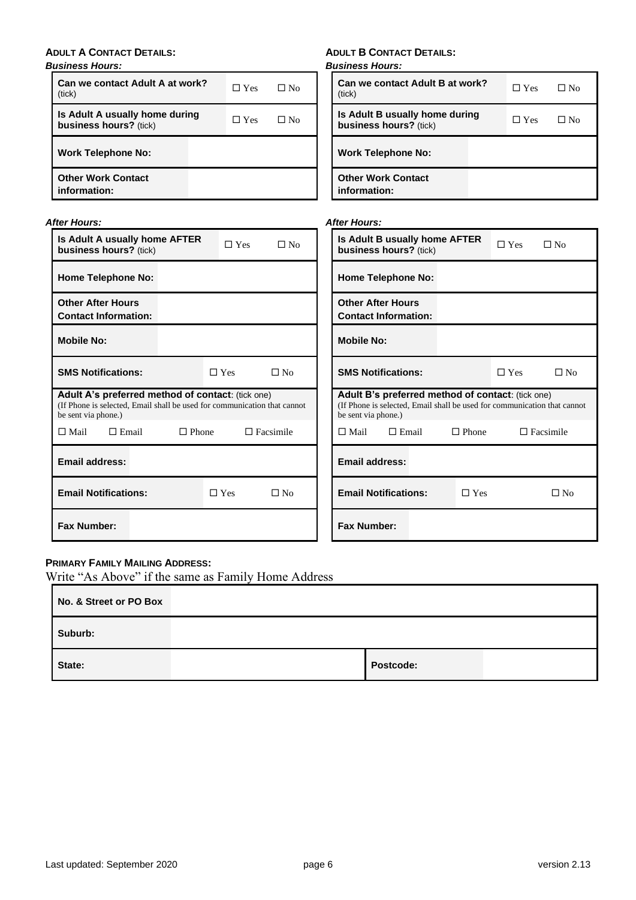## **ADULT A CONTACT DETAILS:**

## *Business Hours:*

| Can we contact Adult A at work?<br>(tick)                | $\Box$ Yes | $\Box$ No | Can we contact Adult B at<br>(tick)                 |
|----------------------------------------------------------|------------|-----------|-----------------------------------------------------|
| Is Adult A usually home during<br>business hours? (tick) | $\Box$ Yes | $\Box$ No | Is Adult B usually home d<br>business hours? (tick) |
| <b>Work Telephone No:</b>                                |            |           | <b>Work Telephone No:</b>                           |
| <b>Other Work Contact</b><br>information:                |            |           | <b>Other Work Contact</b><br>information:           |

## *After Hours:*

| ter Hours:                                                                                                                                           |              |            |                  | <b>After Hours:</b>   |                                                                                                                               |              |            |                  |
|------------------------------------------------------------------------------------------------------------------------------------------------------|--------------|------------|------------------|-----------------------|-------------------------------------------------------------------------------------------------------------------------------|--------------|------------|------------------|
| Is Adult A usually home AFTER<br>business hours? (tick)                                                                                              |              | $\Box$ Yes | $\square$ No     |                       | Is Adult B usually home AFTER<br>business hours? (tick)                                                                       |              | $\Box$ Yes | $\Box$ No        |
| <b>Home Telephone No:</b>                                                                                                                            |              |            |                  |                       | <b>Home Telephone No:</b>                                                                                                     |              |            |                  |
| <b>Other After Hours</b><br><b>Contact Information:</b>                                                                                              |              |            |                  |                       | <b>Other After Hours</b><br><b>Contact Information:</b>                                                                       |              |            |                  |
| <b>Mobile No:</b>                                                                                                                                    |              |            |                  | <b>Mobile No:</b>     |                                                                                                                               |              |            |                  |
| <b>SMS Notifications:</b>                                                                                                                            |              | $\Box$ Yes | $\Box$ No        |                       | <b>SMS Notifications:</b>                                                                                                     |              | $\Box$ Yes | $\Box$ No        |
| Adult A's preferred method of contact: (tick one)<br>(If Phone is selected, Email shall be used for communication that cannot<br>be sent via phone.) |              |            |                  | be sent via phone.)   | Adult B's preferred method of contact: (tick one)<br>(If Phone is selected, Email shall be used for communication that cannot |              |            |                  |
| $\Box$ Mail<br>$\Box$ Email                                                                                                                          | $\Box$ Phone |            | $\Box$ Facsimile | $\square$ Mail        | $\Box$ Email                                                                                                                  | $\Box$ Phone |            | $\Box$ Facsimile |
| <b>Email address:</b>                                                                                                                                |              |            |                  | <b>Email address:</b> |                                                                                                                               |              |            |                  |
| <b>Email Notifications:</b>                                                                                                                          |              | $\Box$ Yes | $\square$ No     |                       | <b>Email Notifications:</b>                                                                                                   | $\Box$ Yes   |            | $\square$ No     |
| <b>Fax Number:</b>                                                                                                                                   |              |            |                  | <b>Fax Number:</b>    |                                                                                                                               |              |            |                  |

## **PRIMARY FAMILY MAILING ADDRESS:**

| Write "As Above" if the same as Family Home Address |  |           |  |  |  |  |  |
|-----------------------------------------------------|--|-----------|--|--|--|--|--|
| No. & Street or PO Box                              |  |           |  |  |  |  |  |
| Suburb:                                             |  |           |  |  |  |  |  |
| State:                                              |  | Postcode: |  |  |  |  |  |

**ADULT B CONTACT DETAILS:**

*Business Hours:*

| Can we contact Adult B at work?<br>(tick)                | $\Box$ Yes | ⊟ No |
|----------------------------------------------------------|------------|------|
| Is Adult B usually home during<br>business hours? (tick) | $\Box$ Yes | ⊟ No |
| <b>Work Telephone No:</b>                                |            |      |
| <b>Other Work Contact</b><br>information:                |            |      |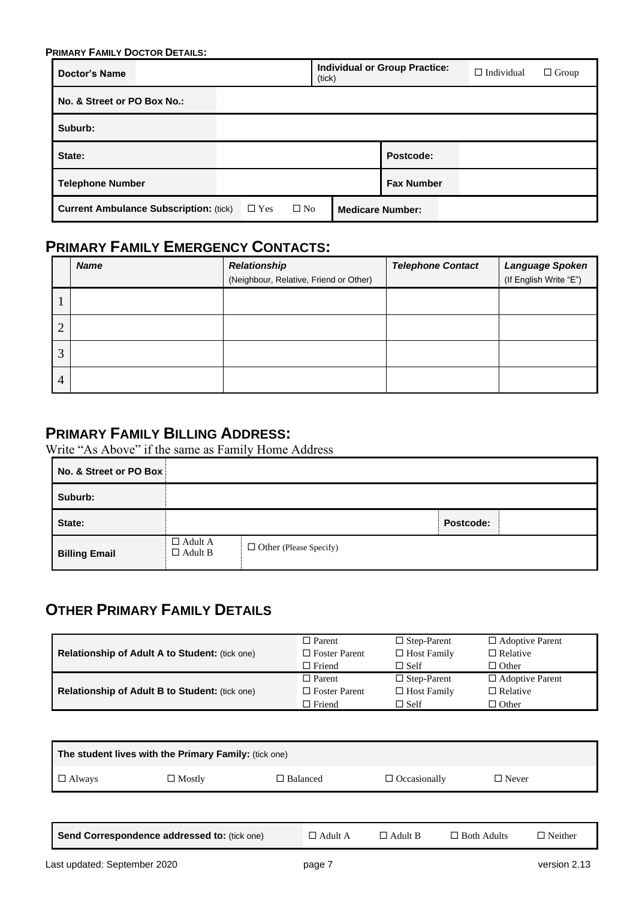| <b>PRIMARY FAMILY DOCTOR DETAILS:</b>         |  |            |              |                         |                                      |                   |              |
|-----------------------------------------------|--|------------|--------------|-------------------------|--------------------------------------|-------------------|--------------|
| Doctor's Name                                 |  |            | (tick)       |                         | <b>Individual or Group Practice:</b> | $\Box$ Individual | $\Box$ Group |
| No. & Street or PO Box No.:                   |  |            |              |                         |                                      |                   |              |
| Suburb:                                       |  |            |              |                         |                                      |                   |              |
| State:                                        |  |            |              |                         | Postcode:                            |                   |              |
| <b>Telephone Number</b>                       |  |            |              |                         | <b>Fax Number</b>                    |                   |              |
| <b>Current Ambulance Subscription: (tick)</b> |  | $\Box$ Yes | $\square$ No | <b>Medicare Number:</b> |                                      |                   |              |

## **PRIMARY FAMILY EMERGENCY CONTACTS:**

|                | <b>Name</b> | <b>Relationship</b><br>(Neighbour, Relative, Friend or Other) | <b>Telephone Contact</b> | <b>Language Spoken</b><br>(If English Write "E") |
|----------------|-------------|---------------------------------------------------------------|--------------------------|--------------------------------------------------|
|                |             |                                                               |                          |                                                  |
| $\overline{2}$ |             |                                                               |                          |                                                  |
| 3              |             |                                                               |                          |                                                  |
| $\overline{4}$ |             |                                                               |                          |                                                  |

## **PRIMARY FAMILY BILLING ADDRESS:**

Write "As Above" if the same as Family Home Address

| No. & Street or PO Box |                                  |                               |           |
|------------------------|----------------------------------|-------------------------------|-----------|
| Suburb:                |                                  |                               |           |
| State:                 |                                  |                               | Postcode: |
| <b>Billing Email</b>   | $\Box$ Adult A<br>$\Box$ Adult B | $\Box$ Other (Please Specify) |           |

## **OTHER PRIMARY FAMILY DETAILS**

|                                                | $\Box$ Parent        | $\Box$ Step-Parent | $\Box$ Adoptive Parent |
|------------------------------------------------|----------------------|--------------------|------------------------|
| Relationship of Adult A to Student: (tick one) | $\Box$ Foster Parent | $\Box$ Host Family | $\Box$ Relative        |
|                                                | $\Box$ Friend        | $\Box$ Self        | $\Box$ Other           |
|                                                |                      |                    |                        |
|                                                | $\Box$ Parent        | $\Box$ Step-Parent | $\Box$ Adoptive Parent |
| Relationship of Adult B to Student: (tick one) | $\Box$ Foster Parent | $\Box$ Host Family | $\Box$ Relative        |

| The student lives with the Primary Family: (tick one) |                                              |                 |                |                     |                    |                |  |
|-------------------------------------------------------|----------------------------------------------|-----------------|----------------|---------------------|--------------------|----------------|--|
| $\Box$ Always                                         | $\Box$ Mostly                                | $\Box$ Balanced |                | $\Box$ Occasionally | $\Box$ Never       |                |  |
|                                                       |                                              |                 |                |                     |                    |                |  |
|                                                       | Send Correspondence addressed to: (tick one) |                 | $\Box$ Adult A | $\Box$ Adult B      | $\Box$ Both Adults | $\Box$ Neither |  |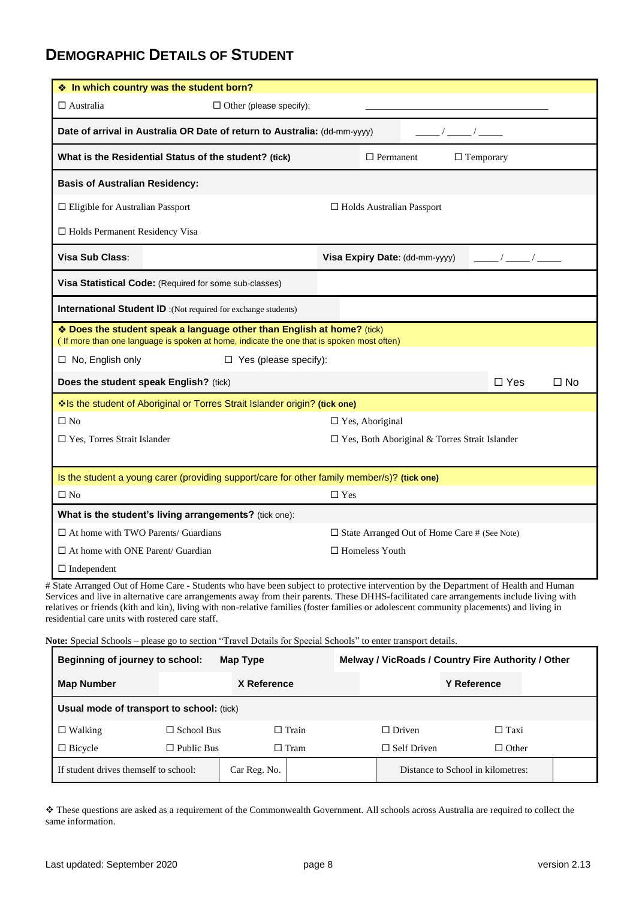## **DEMOGRAPHIC DETAILS OF STUDENT**

|                                            | ❖ In which country was the student born?                                                                                                                            |            |                           |                                                        |            |              |
|--------------------------------------------|---------------------------------------------------------------------------------------------------------------------------------------------------------------------|------------|---------------------------|--------------------------------------------------------|------------|--------------|
| $\square$ Australia                        | $\Box$ Other (please specify):                                                                                                                                      |            |                           |                                                        |            |              |
|                                            | Date of arrival in Australia OR Date of return to Australia: (dd-mm-yyyy)<br>$\frac{1}{2}$ $\frac{1}{2}$                                                            |            |                           |                                                        |            |              |
|                                            | What is the Residential Status of the student? (tick)<br>$\Box$ Permanent<br>$\Box$ Temporary                                                                       |            |                           |                                                        |            |              |
| <b>Basis of Australian Residency:</b>      |                                                                                                                                                                     |            |                           |                                                        |            |              |
| $\Box$ Eligible for Australian Passport    |                                                                                                                                                                     |            |                           | $\Box$ Holds Australian Passport                       |            |              |
| □ Holds Permanent Residency Visa           |                                                                                                                                                                     |            |                           |                                                        |            |              |
| Visa Sub Class:                            |                                                                                                                                                                     |            |                           | Visa Expiry Date: (dd-mm-yyyy)                         |            |              |
|                                            | Visa Statistical Code: (Required for some sub-classes)                                                                                                              |            |                           |                                                        |            |              |
|                                            | <b>International Student ID</b> :(Not required for exchange students)                                                                                               |            |                           |                                                        |            |              |
|                                            | * Does the student speak a language other than English at home? (tick)<br>(If more than one language is spoken at home, indicate the one that is spoken most often) |            |                           |                                                        |            |              |
| $\Box$ No, English only                    | □ Yes (please specify):                                                                                                                                             |            |                           |                                                        |            |              |
|                                            | Does the student speak English? (tick)                                                                                                                              |            |                           |                                                        | $\Box$ Yes | $\square$ No |
|                                            | Is the student of Aboriginal or Torres Strait Islander origin? (tick one)                                                                                           |            |                           |                                                        |            |              |
| $\square$ No                               |                                                                                                                                                                     |            | $\square$ Yes, Aboriginal |                                                        |            |              |
| □ Yes, Torres Strait Islander              |                                                                                                                                                                     |            |                           | □ Yes, Both Aboriginal & Torres Strait Islander        |            |              |
|                                            |                                                                                                                                                                     |            |                           |                                                        |            |              |
|                                            | Is the student a young carer (providing support/care for other family member/s)? (tick one)                                                                         |            |                           |                                                        |            |              |
| $\square$ No                               |                                                                                                                                                                     | $\Box$ Yes |                           |                                                        |            |              |
|                                            | What is the student's living arrangements? (tick one):                                                                                                              |            |                           |                                                        |            |              |
| $\Box$ At home with TWO Parents/ Guardians |                                                                                                                                                                     |            |                           | $\square$ State Arranged Out of Home Care # (See Note) |            |              |
| $\Box$ At home with ONE Parent/ Guardian   |                                                                                                                                                                     |            | $\Box$ Homeless Youth     |                                                        |            |              |
| $\Box$ Independent                         |                                                                                                                                                                     |            |                           |                                                        |            |              |
|                                            | # State Arranged Out of Home Care - Students who have been subject to protective intervention by the Department of Health and Human                                 |            |                           |                                                        |            |              |

Services and live in alternative care arrangements away from their parents. These DHHS-facilitated care arrangements include living with relatives or friends (kith and kin), living with non-relative families (foster families or adolescent community placements) and living in residential care units with rostered care staff.

**Note:** Special Schools – please go to section "Travel Details for Special Schools" to enter transport details.

| <b>Beginning of journey to school:</b><br>Map Type |                   |              | Melway / VicRoads / Country Fire Authority / Other |                    |                                   |  |
|----------------------------------------------------|-------------------|--------------|----------------------------------------------------|--------------------|-----------------------------------|--|
| <b>Map Number</b>                                  | X Reference       |              |                                                    |                    | <b>Y Reference</b>                |  |
| Usual mode of transport to school: (tick)          |                   |              |                                                    |                    |                                   |  |
| $\Box$ Walking                                     | $\Box$ School Bus |              | $\Box$ Train                                       | $\Box$ Driven      | $\Box$ Taxi                       |  |
| $\Box$ Bicycle                                     | $\Box$ Public Bus |              | $\Box$ Tram                                        | $\Box$ Self Driven | $\Box$ Other                      |  |
| If student drives themself to school:              |                   | Car Reg. No. |                                                    |                    | Distance to School in kilometres: |  |

❖ These questions are asked as a requirement of the Commonwealth Government. All schools across Australia are required to collect the same information.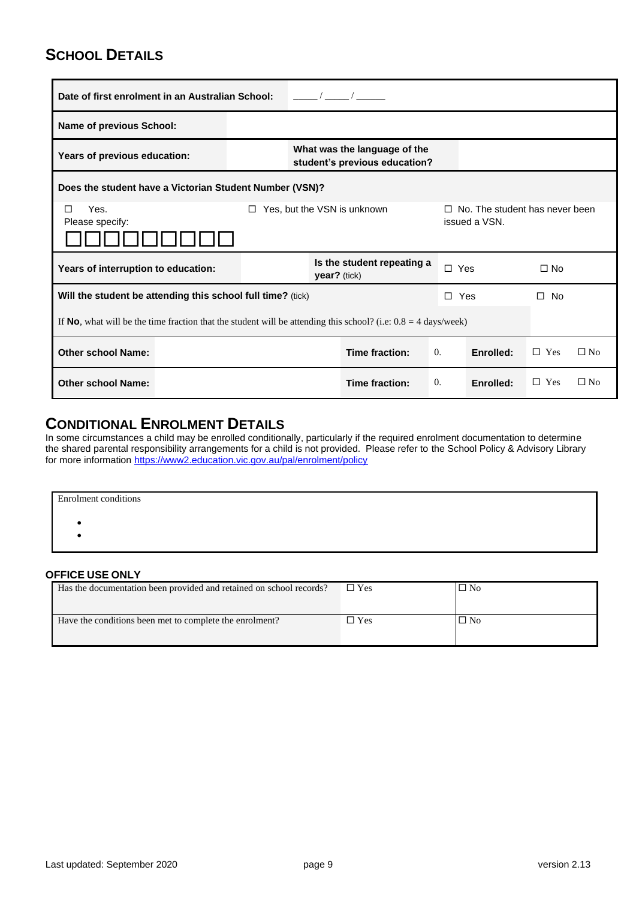## **SCHOOL DETAILS**

| Date of first enrolment in an Australian School:                                                                          |                                                               |              |                            |            |           |              |           |
|---------------------------------------------------------------------------------------------------------------------------|---------------------------------------------------------------|--------------|----------------------------|------------|-----------|--------------|-----------|
| <b>Name of previous School:</b>                                                                                           |                                                               |              |                            |            |           |              |           |
| Years of previous education:                                                                                              | What was the language of the<br>student's previous education? |              |                            |            |           |              |           |
| Does the student have a Victorian Student Number (VSN)?                                                                   |                                                               |              |                            |            |           |              |           |
| Yes.<br>Yes, but the VSN is unknown<br>No. The student has never been<br>П<br>□<br>П.<br>issued a VSN.<br>Please specify: |                                                               |              |                            |            |           |              |           |
| Years of interruption to education:                                                                                       |                                                               | year? (tick) | Is the student repeating a | $\Box$ Yes |           | $\Box$ No    |           |
| Will the student be attending this school full time? (tick)                                                               |                                                               |              |                            | $\Box$ Yes |           | $\square$ No |           |
| If <b>No</b> , what will be the time fraction that the student will be attending this school? (i.e. $0.8 = 4$ days/week)  |                                                               |              |                            |            |           |              |           |
| <b>Other school Name:</b>                                                                                                 |                                                               |              | Time fraction:             | $\theta$ . | Enrolled: | $\Box$ Yes   | $\Box$ No |
| <b>Other school Name:</b>                                                                                                 |                                                               |              | Time fraction:             | $\theta$ . | Enrolled: | $\Box$ Yes   | $\Box$ No |

## **CONDITIONAL ENROLMENT DETAILS**

In some circumstances a child may be enrolled conditionally, particularly if the required enrolment documentation to determine the shared parental responsibility arrangements for a child is not provided. Please refer to the School Policy & Advisory Library for more information <u>https://www2.education.vic.gov.au/pal/enrolment/policy</u>

| <b>Enrolment</b> conditions |  |  |
|-----------------------------|--|--|
|                             |  |  |
|                             |  |  |
|                             |  |  |

## **OFFICE USE ONLY**

| Has the documentation been provided and retained on school records? | $\square$ Yes | $\Box$ No |
|---------------------------------------------------------------------|---------------|-----------|
| Have the conditions been met to complete the enrolment?             | $\Box$ Yes    | $\Box$ No |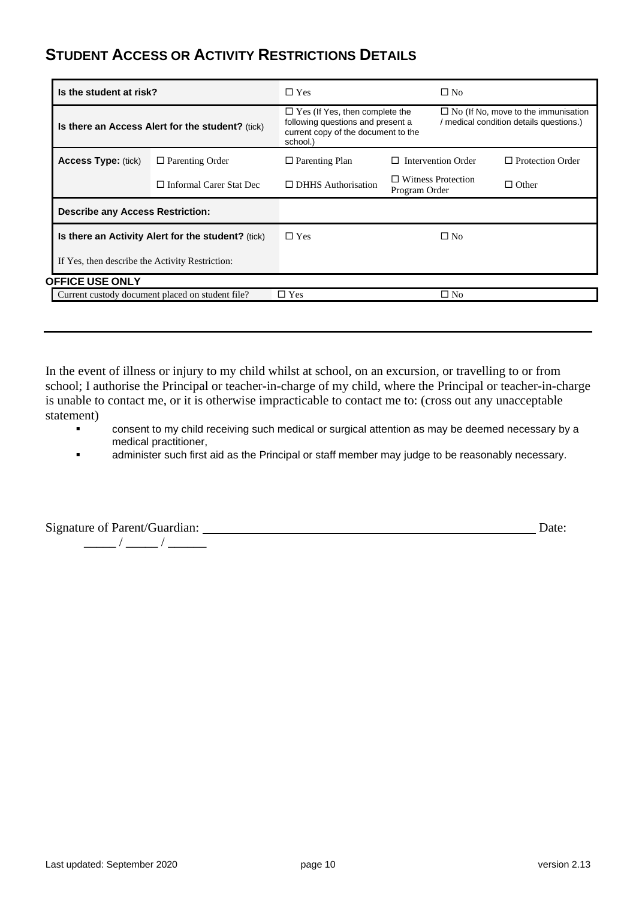## **STUDENT ACCESS OR ACTIVITY RESTRICTIONS DETAILS**

| Is the student at risk?                          |                                                    | $\Box$ Yes                                                                                                                    | $\Box$ No                                  |                                                                                       |  |
|--------------------------------------------------|----------------------------------------------------|-------------------------------------------------------------------------------------------------------------------------------|--------------------------------------------|---------------------------------------------------------------------------------------|--|
| Is there an Access Alert for the student? (tick) |                                                    | $\Box$ Yes (If Yes, then complete the<br>following questions and present a<br>current copy of the document to the<br>school.) |                                            | $\Box$ No (If No, move to the immunisation<br>/ medical condition details questions.) |  |
| <b>Access Type: (tick)</b>                       | $\Box$ Parenting Order                             | $\Box$ Parenting Plan                                                                                                         | <b>Intervention Order</b><br>П             | $\Box$ Protection Order                                                               |  |
|                                                  | $\Box$ Informal Carer Stat Dec                     | $\Box$ DHHS Authorisation                                                                                                     | $\Box$ Witness Protection<br>Program Order | $\Box$ Other                                                                          |  |
| <b>Describe any Access Restriction:</b>          |                                                    |                                                                                                                               |                                            |                                                                                       |  |
|                                                  | Is there an Activity Alert for the student? (tick) |                                                                                                                               | $\Box$ No                                  |                                                                                       |  |
| If Yes, then describe the Activity Restriction:  |                                                    |                                                                                                                               |                                            |                                                                                       |  |
| <b>OFFICE USE ONLY</b>                           |                                                    |                                                                                                                               |                                            |                                                                                       |  |
| Current custody document placed on student file? |                                                    | $\Box$ Yes                                                                                                                    | $\square$ No                               |                                                                                       |  |

In the event of illness or injury to my child whilst at school, on an excursion, or travelling to or from school; I authorise the Principal or teacher-in-charge of my child, where the Principal or teacher-in-charge is unable to contact me, or it is otherwise impracticable to contact me to: (cross out any unacceptable statement)

- consent to my child receiving such medical or surgical attention as may be deemed necessary by a medical practitioner,
- **Example 3** administer such first aid as the Principal or staff member may judge to be reasonably necessary.

Signature of Parent/Guardian: Date:

\_\_\_\_\_ / \_\_\_\_\_ / \_\_\_\_\_\_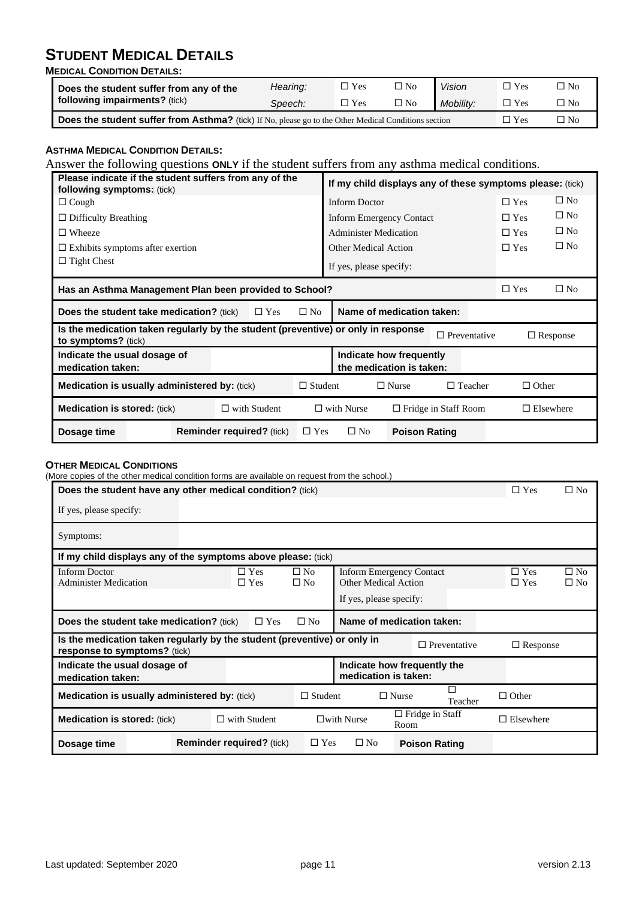## **STUDENT MEDICAL DETAILS**

**MEDICAL CONDITION DETAILS:**

| Does the student suffer from any of the<br><b>following impairments?</b> (tick)                      | Hearing: | $\square$ Yes | $\square$ No | Vision    | $\square$ Yes | $\square$ No |
|------------------------------------------------------------------------------------------------------|----------|---------------|--------------|-----------|---------------|--------------|
|                                                                                                      | Speech:  | $\Box$ Yes    | $\Box$ No    | Mobility: | $\Box$ Yes    | $\square$ No |
| Does the student suffer from Asthma? (tick) If No, please go to the Other Medical Conditions section |          |               |              |           |               | $\square$ No |

## **ASTHMA MEDICAL CONDITION DETAILS:**

Answer the following questions **ONLY** if the student suffers from any asthma medical conditions.

|                                                                                                          | Please indicate if the student suffers from any of the<br>following symptoms: (tick) |  |                                                  |                                                     | If my child displays any of these symptoms please: (tick) |                      |            |                 |              |
|----------------------------------------------------------------------------------------------------------|--------------------------------------------------------------------------------------|--|--------------------------------------------------|-----------------------------------------------------|-----------------------------------------------------------|----------------------|------------|-----------------|--------------|
| $\Box$ Cough                                                                                             |                                                                                      |  |                                                  |                                                     | <b>Inform Doctor</b>                                      |                      |            | $\Box$ Yes      | $\square$ No |
| $\Box$ Difficulty Breathing                                                                              |                                                                                      |  |                                                  |                                                     | <b>Inform Emergency Contact</b>                           |                      |            | $\Box$ Yes      | $\square$ No |
| $\Box$ Wheeze                                                                                            |                                                                                      |  |                                                  |                                                     | <b>Administer Medication</b>                              |                      |            | $\Box$ Yes      | $\square$ No |
| $\Box$ Exhibits symptoms after exertion                                                                  |                                                                                      |  |                                                  |                                                     | <b>Other Medical Action</b>                               |                      |            | $\Box$ Yes      | $\square$ No |
| $\Box$ Tight Chest                                                                                       |                                                                                      |  |                                                  |                                                     | If yes, please specify:                                   |                      |            |                 |              |
| Has an Asthma Management Plan been provided to School?                                                   |                                                                                      |  |                                                  |                                                     |                                                           |                      | $\Box$ Yes | $\square$ No    |              |
| <b>Does the student take medication?</b> (tick)<br>$\Box$ Yes                                            |                                                                                      |  | $\square$ No                                     | Name of medication taken:                           |                                                           |                      |            |                 |              |
| Is the medication taken regularly by the student (preventive) or only in response<br>to symptoms? (tick) |                                                                                      |  |                                                  |                                                     |                                                           | $\Box$ Preventative  |            | $\Box$ Response |              |
| Indicate the usual dosage of<br>medication taken:                                                        |                                                                                      |  |                                                  | Indicate how frequently<br>the medication is taken: |                                                           |                      |            |                 |              |
| <b>Medication is usually administered by: (tick)</b>                                                     |                                                                                      |  | $\Box$ Student                                   | $\Box$ Teacher<br>$\Box$ Nurse                      |                                                           | $\Box$ Other         |            |                 |              |
| <b>Medication is stored: (tick)</b><br>$\Box$ with Student                                               |                                                                                      |  | $\Box$ with Nurse<br>$\Box$ Fridge in Staff Room |                                                     | $\Box$ Elsewhere                                          |                      |            |                 |              |
| Dosage time                                                                                              |                                                                                      |  | <b>Reminder required?</b> (tick)                 | $\Box$ Yes                                          | $\square$ No                                              | <b>Poison Rating</b> |            |                 |              |

#### **OTHER MEDICAL CONDITIONS**

(More copies of the other medical condition forms are available on request from the school.)

| Does the student have any other medical condition? (tick)                                                  |                                  |                          |                              |                                                 | $\Box$ Yes                                          | $\Box$ No           |                          |                              |
|------------------------------------------------------------------------------------------------------------|----------------------------------|--------------------------|------------------------------|-------------------------------------------------|-----------------------------------------------------|---------------------|--------------------------|------------------------------|
| If yes, please specify:                                                                                    |                                  |                          |                              |                                                 |                                                     |                     |                          |                              |
| Symptoms:                                                                                                  |                                  |                          |                              |                                                 |                                                     |                     |                          |                              |
| If my child displays any of the symptoms above please: (tick)                                              |                                  |                          |                              |                                                 |                                                     |                     |                          |                              |
| <b>Inform Doctor</b><br><b>Administer Medication</b>                                                       |                                  | $\Box$ Yes<br>$\Box$ Yes | $\square$ No<br>$\square$ No | Other Medical Action<br>If yes, please specify: | <b>Inform Emergency Contact</b>                     |                     | $\Box$ Yes<br>$\Box$ Yes | $\square$ No<br>$\square$ No |
| Name of medication taken:<br>$\square$ No<br><b>Does the student take medication?</b> (tick)<br>$\Box$ Yes |                                  |                          |                              |                                                 |                                                     |                     |                          |                              |
| Is the medication taken regularly by the student (preventive) or only in<br>response to symptoms? (tick)   |                                  |                          |                              |                                                 |                                                     | $\Box$ Preventative | $\Box$ Response          |                              |
| Indicate the usual dosage of<br>medication taken:                                                          |                                  |                          |                              |                                                 | Indicate how frequently the<br>medication is taken: |                     |                          |                              |
| <b>Medication is usually administered by: (tick)</b>                                                       |                                  |                          | $\Box$ Student               |                                                 | $\Box$ Nurse                                        | Teacher             | $\Box$ Other             |                              |
| <b>Medication is stored:</b> (tick)<br>$\Box$ with Student                                                 |                                  |                          | $\square$ with Nurse         | $\Box$ Fridge in Staff<br>Room                  |                                                     | $\Box$ Elsewhere    |                          |                              |
| Dosage time                                                                                                | <b>Reminder required?</b> (tick) |                          | $\Box$ Yes                   | $\square$ No                                    | <b>Poison Rating</b>                                |                     |                          |                              |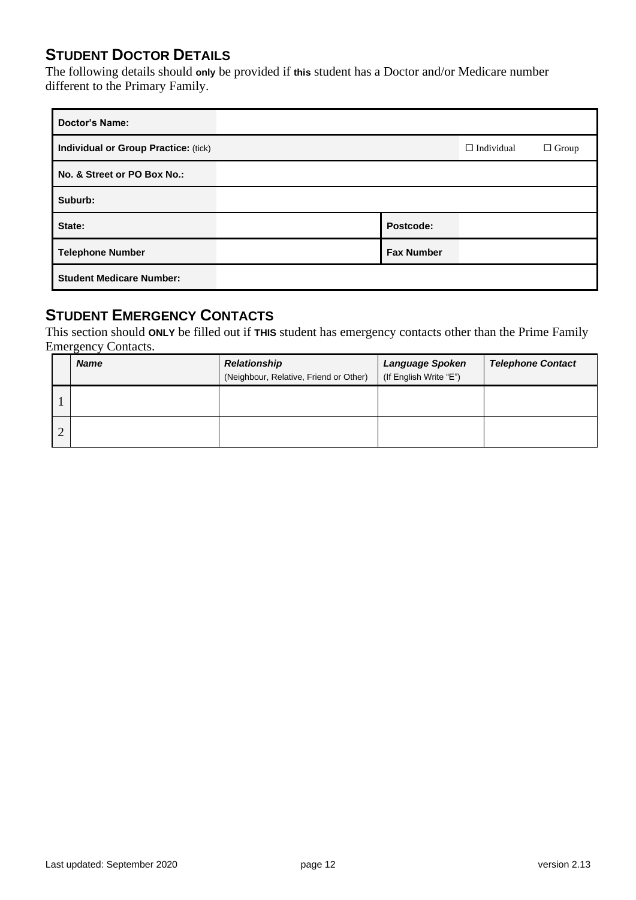## **STUDENT DOCTOR DETAILS**

The following details should **only** be provided if **this** student has a Doctor and/or Medicare number different to the Primary Family.

| <b>Doctor's Name:</b>                |                   |                   |              |
|--------------------------------------|-------------------|-------------------|--------------|
| Individual or Group Practice: (tick) |                   | $\Box$ Individual | $\Box$ Group |
| No. & Street or PO Box No.:          |                   |                   |              |
| Suburb:                              |                   |                   |              |
| State:                               | Postcode:         |                   |              |
| <b>Telephone Number</b>              | <b>Fax Number</b> |                   |              |
| <b>Student Medicare Number:</b>      |                   |                   |              |

## **STUDENT EMERGENCY CONTACTS**

This section should **ONLY** be filled out if **THIS** student has emergency contacts other than the Prime Family Emergency Contacts.

|   | <b>Name</b> | <b>Relationship</b><br>(Neighbour, Relative, Friend or Other) | <b>Language Spoken</b><br>(If English Write "E") | <b>Telephone Contact</b> |
|---|-------------|---------------------------------------------------------------|--------------------------------------------------|--------------------------|
|   |             |                                                               |                                                  |                          |
| ⌒ |             |                                                               |                                                  |                          |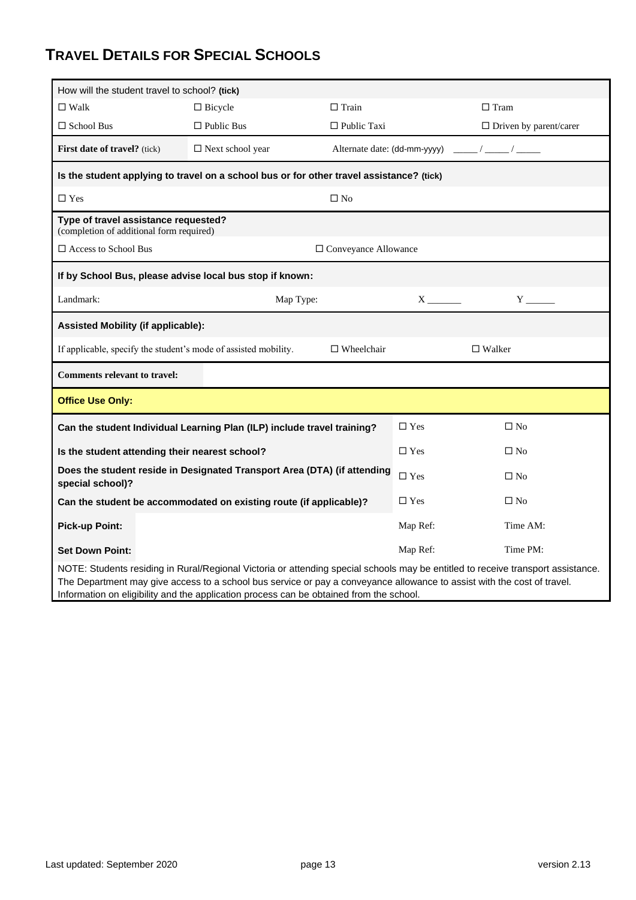## **TRAVEL DETAILS FOR SPECIAL SCHOOLS**

| How will the student travel to school? (tick)                                            |                                                                                                                                  |                              |            |                                              |  |  |  |
|------------------------------------------------------------------------------------------|----------------------------------------------------------------------------------------------------------------------------------|------------------------------|------------|----------------------------------------------|--|--|--|
| $\Box$ Walk                                                                              | $\Box$ Bicycle                                                                                                                   | $\Box$ Train                 |            | $\Box$ Tram                                  |  |  |  |
| $\Box$ School Bus                                                                        | $\Box$ Public Bus                                                                                                                | $\Box$ Public Taxi           |            | $\Box$ Driven by parent/carer                |  |  |  |
| First date of travel? (tick)                                                             | $\square$ Next school year                                                                                                       | Alternate date: (dd-mm-yyyy) |            | $\sqrt{2}$                                   |  |  |  |
| Is the student applying to travel on a school bus or for other travel assistance? (tick) |                                                                                                                                  |                              |            |                                              |  |  |  |
| $\Box$ Yes                                                                               |                                                                                                                                  | $\square$ No                 |            |                                              |  |  |  |
| Type of travel assistance requested?<br>(completion of additional form required)         |                                                                                                                                  |                              |            |                                              |  |  |  |
| $\square$ Access to School Bus<br>$\square$ Conveyance Allowance                         |                                                                                                                                  |                              |            |                                              |  |  |  |
| If by School Bus, please advise local bus stop if known:                                 |                                                                                                                                  |                              |            |                                              |  |  |  |
| Landmark:                                                                                | Map Type:                                                                                                                        |                              |            | $Y_{\overline{\phantom{a}}}\hspace{0.025cm}$ |  |  |  |
| <b>Assisted Mobility (if applicable):</b>                                                |                                                                                                                                  |                              |            |                                              |  |  |  |
| If applicable, specify the student's mode of assisted mobility.                          |                                                                                                                                  | $\Box$ Wheelchair            |            | $\Box$ Walker                                |  |  |  |
| <b>Comments relevant to travel:</b>                                                      |                                                                                                                                  |                              |            |                                              |  |  |  |
| <b>Office Use Only:</b>                                                                  |                                                                                                                                  |                              |            |                                              |  |  |  |
|                                                                                          | Can the student Individual Learning Plan (ILP) include travel training?                                                          |                              | $\Box$ Yes | $\square$ No                                 |  |  |  |
| Is the student attending their nearest school?                                           |                                                                                                                                  |                              | $\Box$ Yes | $\square$ No                                 |  |  |  |
| special school)?                                                                         | Does the student reside in Designated Transport Area (DTA) (if attending                                                         |                              | $\Box$ Yes | $\square$ No                                 |  |  |  |
|                                                                                          | Can the student be accommodated on existing route (if applicable)?                                                               |                              | $\Box$ Yes | $\square$ No                                 |  |  |  |
| <b>Pick-up Point:</b>                                                                    |                                                                                                                                  |                              | Map Ref:   | Time AM:                                     |  |  |  |
| <b>Set Down Point:</b>                                                                   |                                                                                                                                  |                              | Map Ref:   | Time PM:                                     |  |  |  |
|                                                                                          | NOTE: Students residing in Rural/Regional Victoria or attending special schools may be entitled to receive transport assistance. |                              |            |                                              |  |  |  |

The Department may give access to a school bus service or pay a conveyance allowance to assist with the cost of travel. Information on eligibility and the application process can be obtained from the school.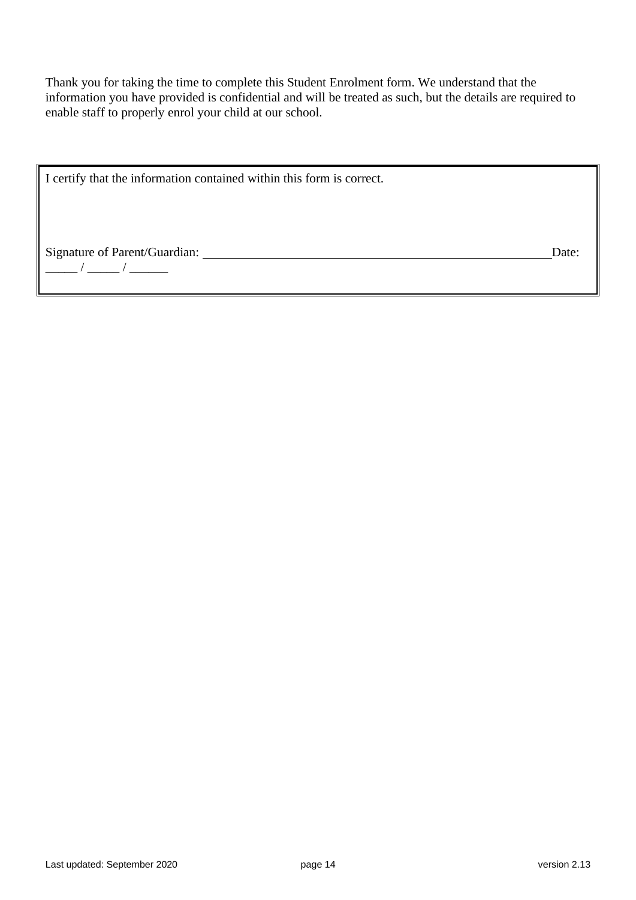Thank you for taking the time to complete this Student Enrolment form. We understand that the information you have provided is confidential and will be treated as such, but the details are required to enable staff to properly enrol your child at our school.

I certify that the information contained within this form is correct.

Signature of Parent/Guardian: Date:

\_\_\_\_\_ / \_\_\_\_\_ / \_\_\_\_\_\_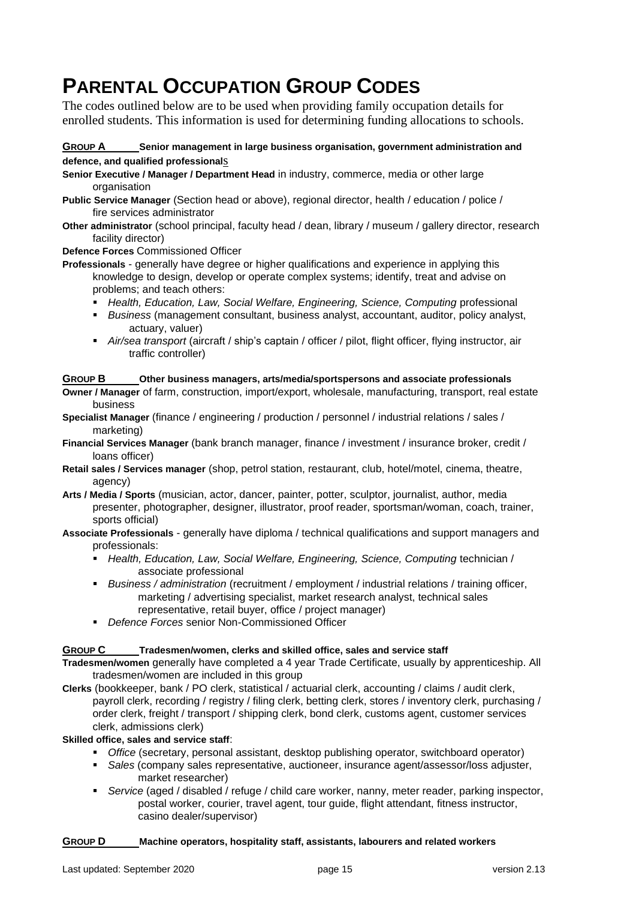# **PARENTAL OCCUPATION GROUP CODES**

The codes outlined below are to be used when providing family occupation details for enrolled students. This information is used for determining funding allocations to schools.

## **GROUP A Senior management in large business organisation, government administration and defence, and qualified professional**s

**Senior Executive / Manager / Department Head** in industry, commerce, media or other large organisation

- **Public Service Manager** (Section head or above), regional director, health / education / police / fire services administrator
- **Other administrator** (school principal, faculty head / dean, library / museum / gallery director, research facility director)

**Defence Forces** Commissioned Officer

**Professionals** - generally have degree or higher qualifications and experience in applying this knowledge to design, develop or operate complex systems; identify, treat and advise on problems; and teach others:

- *Health, Education, Law, Social Welfare, Engineering, Science, Computing* **professional**
- *Business* (management consultant, business analyst, accountant, auditor, policy analyst, actuary, valuer)
- *Air/sea transport* (aircraft / ship's captain / officer / pilot, flight officer, flying instructor, air traffic controller)

## **GROUP B Other business managers, arts/media/sportspersons and associate professionals**

**Owner / Manager** of farm, construction, import/export, wholesale, manufacturing, transport, real estate business

- **Specialist Manager** (finance / engineering / production / personnel / industrial relations / sales / marketing)
- **Financial Services Manager** (bank branch manager, finance / investment / insurance broker, credit / loans officer)
- **Retail sales / Services manager** (shop, petrol station, restaurant, club, hotel/motel, cinema, theatre, agency)
- **Arts / Media / Sports** (musician, actor, dancer, painter, potter, sculptor, journalist, author, media presenter, photographer, designer, illustrator, proof reader, sportsman/woman, coach, trainer, sports official)
- **Associate Professionals** generally have diploma / technical qualifications and support managers and professionals:
	- **Health, Education, Law, Social Welfare, Engineering, Science, Computing technician /** associate professional
	- *Business / administration* (recruitment / employment / industrial relations / training officer, marketing / advertising specialist, market research analyst, technical sales representative, retail buyer, office / project manager)
	- *Defence Forces* senior Non-Commissioned Officer

## **GROUP C Tradesmen/women, clerks and skilled office, sales and service staff**

- **Tradesmen/women** generally have completed a 4 year Trade Certificate, usually by apprenticeship. All tradesmen/women are included in this group
- **Clerks** (bookkeeper, bank / PO clerk, statistical / actuarial clerk, accounting / claims / audit clerk, payroll clerk, recording / registry / filing clerk, betting clerk, stores / inventory clerk, purchasing / order clerk, freight / transport / shipping clerk, bond clerk, customs agent, customer services clerk, admissions clerk)

## **Skilled office, sales and service staff**:

- **•** *Office* (secretary, personal assistant, desktop publishing operator, switchboard operator)
- *Sales* (company sales representative, auctioneer, insurance agent/assessor/loss adjuster, market researcher)
- *Service* (aged / disabled / refuge / child care worker, nanny, meter reader, parking inspector, postal worker, courier, travel agent, tour guide, flight attendant, fitness instructor, casino dealer/supervisor)

## **GROUP D Machine operators, hospitality staff, assistants, labourers and related workers**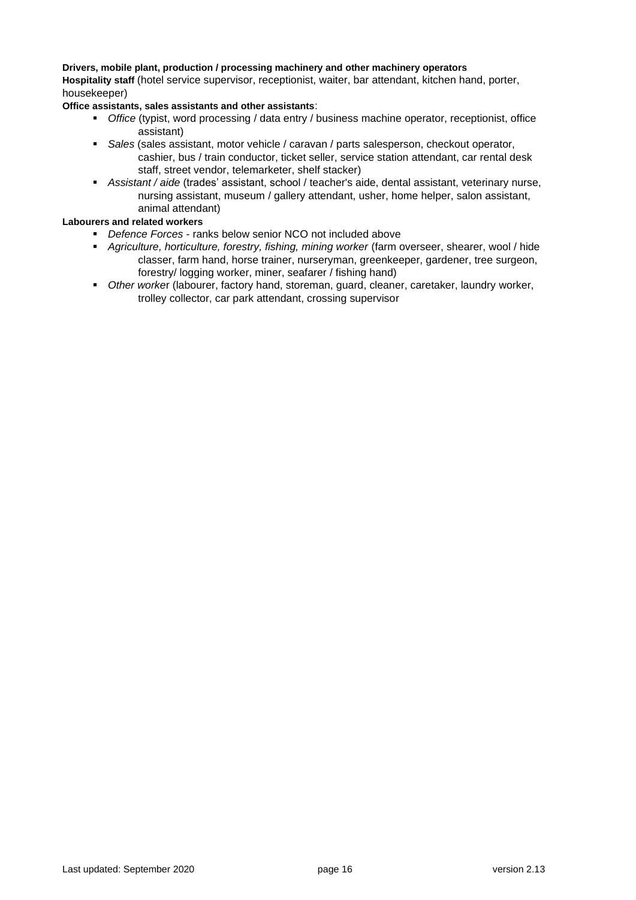#### **Drivers, mobile plant, production / processing machinery and other machinery operators**

**Hospitality staff** (hotel service supervisor, receptionist, waiter, bar attendant, kitchen hand, porter, housekeeper)

**Office assistants, sales assistants and other assistants**:

- *Office* (typist, word processing / data entry / business machine operator, receptionist, office assistant)
- *Sales* (sales assistant, motor vehicle / caravan / parts salesperson, checkout operator, cashier, bus / train conductor, ticket seller, service station attendant, car rental desk staff, street vendor, telemarketer, shelf stacker)
- *Assistant / aide* (trades' assistant, school / teacher's aide, dental assistant, veterinary nurse, nursing assistant, museum / gallery attendant, usher, home helper, salon assistant, animal attendant)

#### **Labourers and related workers**

- *Defence Forces* ranks below senior NCO not included above
- *Agriculture, horticulture, forestry, fishing, mining worker* (farm overseer, shearer, wool / hide classer, farm hand, horse trainer, nurseryman, greenkeeper, gardener, tree surgeon, forestry/ logging worker, miner, seafarer / fishing hand)
- *Other worke*r (labourer, factory hand, storeman, guard, cleaner, caretaker, laundry worker, trolley collector, car park attendant, crossing supervisor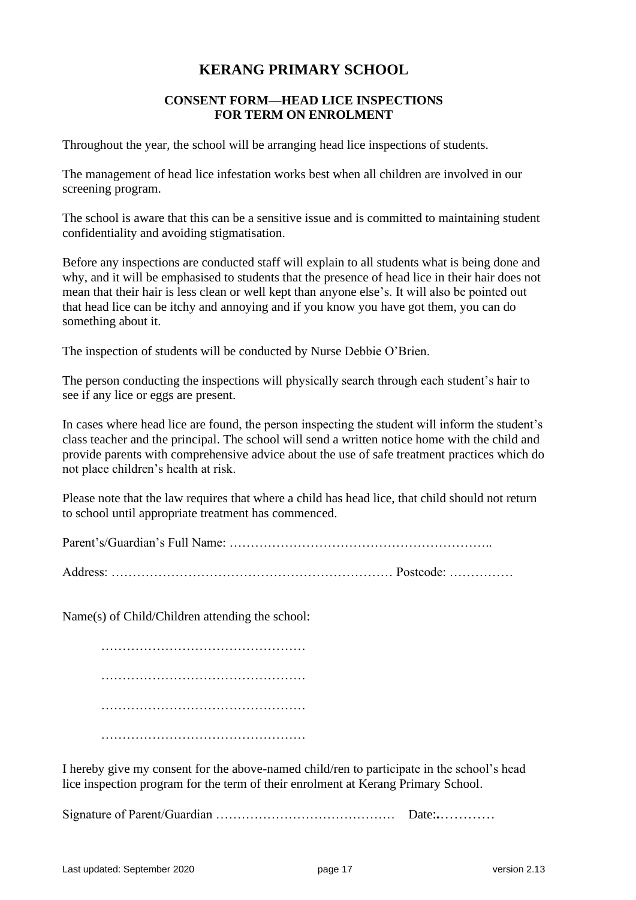## **KERANG PRIMARY SCHOOL**

## **CONSENT FORM—HEAD LICE INSPECTIONS FOR TERM ON ENROLMENT**

Throughout the year, the school will be arranging head lice inspections of students.

The management of head lice infestation works best when all children are involved in our screening program.

The school is aware that this can be a sensitive issue and is committed to maintaining student confidentiality and avoiding stigmatisation.

Before any inspections are conducted staff will explain to all students what is being done and why, and it will be emphasised to students that the presence of head lice in their hair does not mean that their hair is less clean or well kept than anyone else's. It will also be pointed out that head lice can be itchy and annoying and if you know you have got them, you can do something about it.

The inspection of students will be conducted by Nurse Debbie O'Brien.

The person conducting the inspections will physically search through each student's hair to see if any lice or eggs are present.

In cases where head lice are found, the person inspecting the student will inform the student's class teacher and the principal. The school will send a written notice home with the child and provide parents with comprehensive advice about the use of safe treatment practices which do not place children's health at risk.

Please note that the law requires that where a child has head lice, that child should not return to school until appropriate treatment has commenced.

Parent's/Guardian's Full Name: ……………………………………………………..

Address: ………………………………………………………… Postcode: ……………

Name(s) of Child/Children attending the school:

………………………………………… ………………………………………… ………………………………………… …………………………………………

I hereby give my consent for the above-named child/ren to participate in the school's head lice inspection program for the term of their enrolment at Kerang Primary School.

Signature of Parent/Guardian …………………………………… Date:**.**…………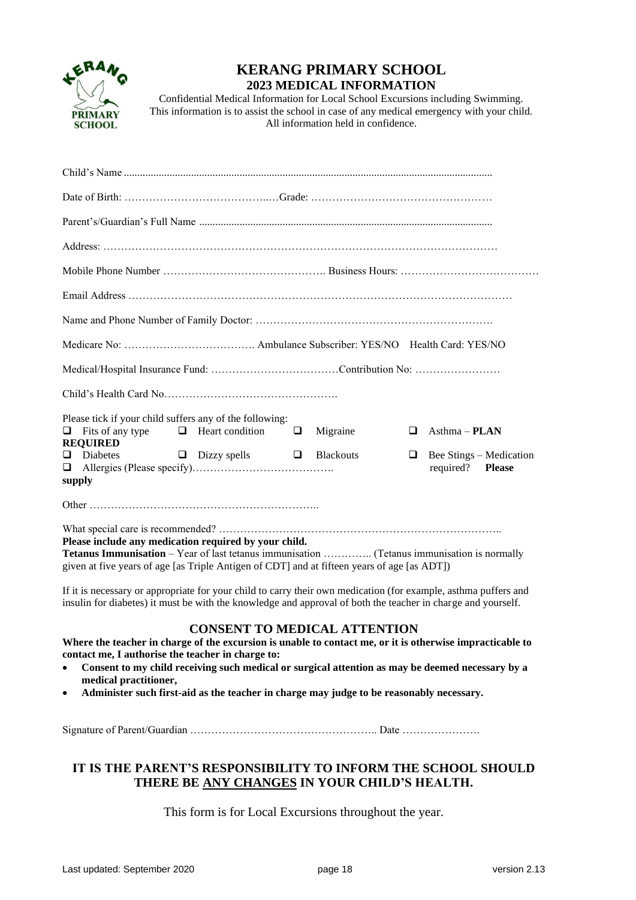

## **KERANG PRIMARY SCHOOL 2023 MEDICAL INFORMATION**

Confidential Medical Information for Local School Excursions including Swimming. This information is to assist the school in case of any medical emergency with your child. All information held in confidence.

| Please tick if your child suffers any of the following:<br>Fits of any type $\Box$ Heart condition $\Box$<br>$Asthma - PLAN$<br>Migraine<br>$\Box$<br>□<br><b>REQUIRED</b>                                                                                 |
|------------------------------------------------------------------------------------------------------------------------------------------------------------------------------------------------------------------------------------------------------------|
| $\Box$ Diabetes $\Box$ Dizzy spells $\Box$ Blackouts<br>Bee Stings – Medication<br>❏<br>required? Please<br>$\Box$<br>supply                                                                                                                               |
|                                                                                                                                                                                                                                                            |
| Please include any medication required by your child.<br><b>Tetanus Immunisation</b> – Year of last tetanus immunisation  (Tetanus immunisation is normally<br>given at five years of age [as Triple Antigen of CDT] and at fifteen years of age [as ADT]) |

If it is necessary or appropriate for your child to carry their own medication (for example, asthma puffers and insulin for diabetes) it must be with the knowledge and approval of both the teacher in charge and yourself.

## **CONSENT TO MEDICAL ATTENTION**

**Where the teacher in charge of the excursion is unable to contact me, or it is otherwise impracticable to contact me, I authorise the teacher in charge to:**

- **Consent to my child receiving such medical or surgical attention as may be deemed necessary by a medical practitioner,**
- **Administer such first-aid as the teacher in charge may judge to be reasonably necessary.**

Signature of Parent/Guardian …………………………………………….. Date ………………….

## **IT IS THE PARENT'S RESPONSIBILITY TO INFORM THE SCHOOL SHOULD THERE BE ANY CHANGES IN YOUR CHILD'S HEALTH.**

This form is for Local Excursions throughout the year.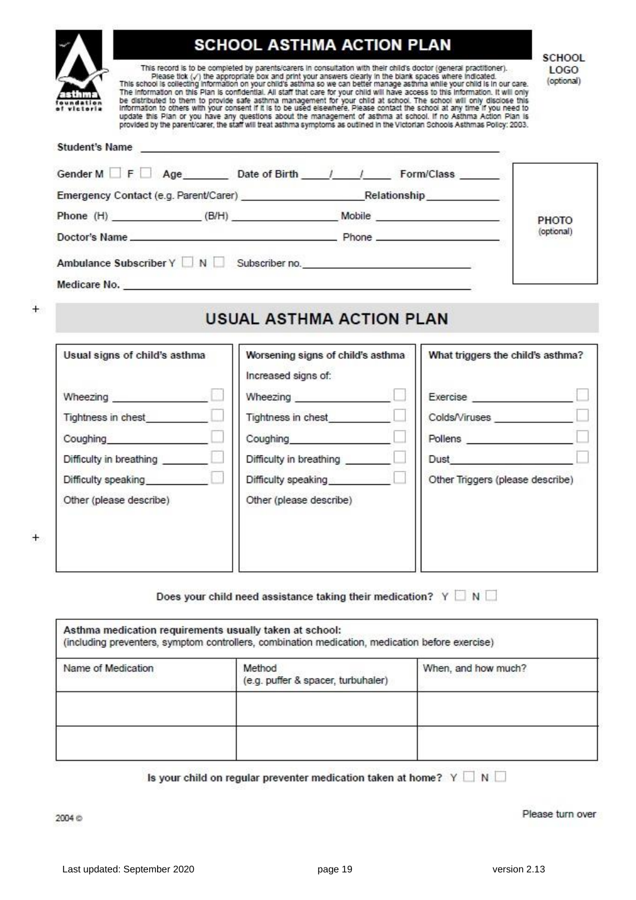| <b>SCHOOL ASTHMA ACTION PLAN</b><br><b>SCHOOL</b><br>This record is to be completed by parents/carers in consultation with their child's doctor (general practitioner).<br>Please tick (y') the appropriate box and print your answers clearly in the blank spaces where indicated.<br>This school is collecting information on your child's asthma so we can better manage asthma while your child is in our care.<br>The information on this Plan is confidential. All start that care for your child will have access to this information. It will only<br>be distributed to them to provide safe asthma management for your child at school. The school will only disclose this<br>Information to others with your consent if it is to be used elsewhere. Please contact the school at any time if you need to<br>update this Plan or you have any questions about the management of asthma at school. If no Asthma Action Plan is<br>provided by the parent/carer, the staff will treat asthma symptoms as outlined in the Victorian Schools Asthmas Policy: 2003. |                                                                                                         |  |            |  |  |
|-------------------------------------------------------------------------------------------------------------------------------------------------------------------------------------------------------------------------------------------------------------------------------------------------------------------------------------------------------------------------------------------------------------------------------------------------------------------------------------------------------------------------------------------------------------------------------------------------------------------------------------------------------------------------------------------------------------------------------------------------------------------------------------------------------------------------------------------------------------------------------------------------------------------------------------------------------------------------------------------------------------------------------------------------------------------------|---------------------------------------------------------------------------------------------------------|--|------------|--|--|
| Student's Name                                                                                                                                                                                                                                                                                                                                                                                                                                                                                                                                                                                                                                                                                                                                                                                                                                                                                                                                                                                                                                                          |                                                                                                         |  |            |  |  |
|                                                                                                                                                                                                                                                                                                                                                                                                                                                                                                                                                                                                                                                                                                                                                                                                                                                                                                                                                                                                                                                                         | Gender M F Age Date of Birth / / Form/Class                                                             |  |            |  |  |
|                                                                                                                                                                                                                                                                                                                                                                                                                                                                                                                                                                                                                                                                                                                                                                                                                                                                                                                                                                                                                                                                         | Emergency Contact (e.g. Parent/Carer) <b>Emergency Contact (e.g. Parent/Carer)</b> and the Relationship |  |            |  |  |
|                                                                                                                                                                                                                                                                                                                                                                                                                                                                                                                                                                                                                                                                                                                                                                                                                                                                                                                                                                                                                                                                         |                                                                                                         |  | PHOTO      |  |  |
|                                                                                                                                                                                                                                                                                                                                                                                                                                                                                                                                                                                                                                                                                                                                                                                                                                                                                                                                                                                                                                                                         |                                                                                                         |  | (optional) |  |  |
|                                                                                                                                                                                                                                                                                                                                                                                                                                                                                                                                                                                                                                                                                                                                                                                                                                                                                                                                                                                                                                                                         | Ambulance Subscriber $Y \Box N \Box$ Subscriber no.                                                     |  |            |  |  |
|                                                                                                                                                                                                                                                                                                                                                                                                                                                                                                                                                                                                                                                                                                                                                                                                                                                                                                                                                                                                                                                                         |                                                                                                         |  |            |  |  |

## **USUAL ASTHMA ACTION PLAN**

| Usual signs of child's asthma | Worsening signs of child's asthma<br>Increased signs of: | What triggers the child's asthma? |
|-------------------------------|----------------------------------------------------------|-----------------------------------|
| Wheezing                      | Wheezing                                                 | Exercise                          |
| Tightness in chest            | Tightness in chest                                       | Colds/Viruses                     |
| Coughing                      | Coughing                                                 | Pollens                           |
| Difficulty in breathing       | Difficulty in breathing                                  | Dust                              |
| Difficulty speaking           | Difficulty speaking                                      | Other Triggers (please describe)  |
| Other (please describe)       | Other (please describe)                                  |                                   |
|                               |                                                          |                                   |
|                               |                                                          |                                   |

## Does your child need assistance taking their medication?  $Y \square N \square$

| Asthma medication requirements usually taken at school:<br>(including preventers, symptom controllers, combination medication, medication before exercise) |                                              |                     |  |  |
|------------------------------------------------------------------------------------------------------------------------------------------------------------|----------------------------------------------|---------------------|--|--|
| Name of Medication                                                                                                                                         | Method<br>(e.g. puffer & spacer, turbuhaler) | When, and how much? |  |  |
|                                                                                                                                                            |                                              |                     |  |  |
|                                                                                                                                                            |                                              |                     |  |  |

Is your child on regular preventer medication taken at home?  $Y \square N \square$ 

Please turn over

 $+$ 

 $+$